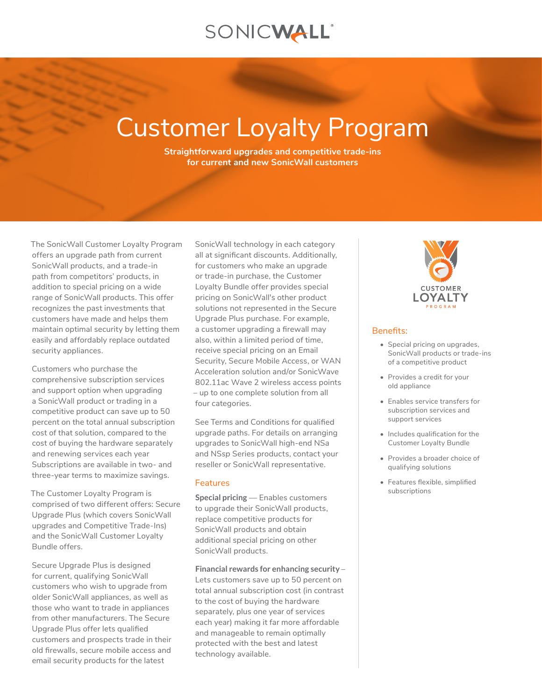## SONICWALL®

# Customer Loyalty Program

**Straightforward upgrades and competitive trade-ins for current and new SonicWall customers**

The SonicWall Customer Loyalty Program offers an upgrade path from current SonicWall products, and a trade-in path from competitors' products, in addition to special pricing on a wide range of SonicWall products. This offer recognizes the past investments that customers have made and helps them maintain optimal security by letting them easily and affordably replace outdated security appliances.

Customers who purchase the comprehensive subscription services and support option when upgrading a SonicWall product or trading in a competitive product can save up to 50 percent on the total annual subscription cost of that solution, compared to the cost of buying the hardware separately and renewing services each year Subscriptions are available in two- and three-year terms to maximize savings.

The Customer Loyalty Program is comprised of two different offers: Secure Upgrade Plus (which covers SonicWall upgrades and Competitive Trade-Ins) and the SonicWall Customer Loyalty Bundle offers.

Secure Upgrade Plus is designed for current, qualifying SonicWall customers who wish to upgrade from older SonicWall appliances, as well as those who want to trade in appliances from other manufacturers. The Secure Upgrade Plus offer lets qualified customers and prospects trade in their old firewalls, secure mobile access and email security products for the latest

SonicWall technology in each category all at significant discounts. Additionally, for customers who make an upgrade or trade-in purchase, the Customer Loyalty Bundle offer provides special pricing on SonicWall's other product solutions not represented in the Secure Upgrade Plus purchase. For example, a customer upgrading a firewall may also, within a limited period of time, receive special pricing on an Email Security, Secure Mobile Access, or WAN Acceleration solution and/or SonicWave 802.11ac Wave 2 wireless access points – up to one complete solution from all four categories.

See Terms and Conditions for qualified upgrade paths. For details on arranging upgrades to SonicWall high-end NS*a* and NS*sp* Series products, contact your reseller or SonicWall representative.

#### **Features**

**Special pricing** — Enables customers to upgrade their SonicWall products, replace competitive products for SonicWall products and obtain additional special pricing on other SonicWall products.

**Financial rewards for enhancing security** – Lets customers save up to 50 percent on total annual subscription cost (in contrast to the cost of buying the hardware separately, plus one year of services each year) making it far more affordable and manageable to remain optimally protected with the best and latest technology available.



#### Benefits:

- Special pricing on upgrades, SonicWall products or trade-ins of a competitive product
- Provides a credit for your old appliance
- Enables service transfers for subscription services and support services
- Includes qualification for the Customer Loyalty Bundle
- Provides a broader choice of qualifying solutions
- Features flexible, simplified subscriptions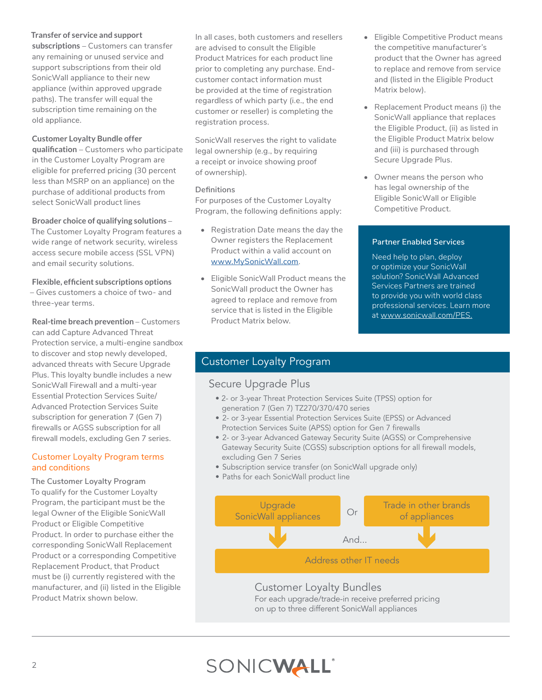## **Transfer of service and support**

**subscriptions** – Customers can transfer any remaining or unused service and support subscriptions from their old SonicWall appliance to their new appliance (within approved upgrade paths). The transfer will equal the subscription time remaining on the old appliance.

## **Customer Loyalty Bundle offer**

**qualification** – Customers who participate in the Customer Loyalty Program are eligible for preferred pricing (30 percent less than MSRP on an appliance) on the purchase of additional products from select SonicWall product lines

## **Broader choice of qualifying solutions** –

The Customer Loyalty Program features a wide range of network security, wireless access secure mobile access (SSL VPN) and email security solutions.

**Flexible, efficient subscriptions options**  – Gives customers a choice of two- and three-year terms.

**Real-time breach prevention - Customers** can add Capture Advanced Threat Protection service, a multi-engine sandbox to discover and stop newly developed, advanced threats with Secure Upgrade Plus. This loyalty bundle includes a new SonicWall Firewall and a multi-year Essential Protection Services Suite/ Advanced Protection Services Suite subscription for generation 7 (Gen 7) firewalls or AGSS subscription for all firewall models, excluding Gen 7 series.

## Customer Loyalty Program terms and conditions

**The Customer Loyalty Program** To qualify for the Customer Loyalty Program, the participant must be the legal Owner of the Eligible SonicWall Product or Eligible Competitive Product. In order to purchase either the corresponding SonicWall Replacement Product or a corresponding Competitive Replacement Product, that Product must be (i) currently registered with the manufacturer, and (ii) listed in the Eligible Product Matrix shown below.

In all cases, both customers and resellers are advised to consult the Eligible Product Matrices for each product line prior to completing any purchase. Endcustomer contact information must be provided at the time of registration regardless of which party (i.e., the end customer or reseller) is completing the registration process.

SonicWall reserves the right to validate legal ownership (e.g., by requiring a receipt or invoice showing proof of ownership).

#### **Definitions**

For purposes of the Customer Loyalty Program, the following definitions apply:

- Registration Date means the day the Owner registers the Replacement Product within a valid account on [www.MySonicWall.com](http://www.MySonicWall.com).
- Eligible SonicWall Product means the SonicWall product the Owner has agreed to replace and remove from service that is listed in the Eligible Product Matrix below.
- Eligible Competitive Product means the competitive manufacturer's product that the Owner has agreed to replace and remove from service and (listed in the Eligible Product Matrix below).
- Replacement Product means (i) the SonicWall appliance that replaces the Eligible Product, (ii) as listed in the Eligible Product Matrix below and (iii) is purchased through Secure Upgrade Plus.
- Owner means the person who has legal ownership of the Eligible SonicWall or Eligible Competitive Product.

## **Partner Enabled Services**

Need help to plan, deploy or optimize your SonicWall solution? SonicWall Advanced Services Partners are trained to provide you with world class professional services. Learn more at [www.sonicwall.com/PES.](http://www.sonicwall.com/PES)

## Customer Loyalty Program

## Secure Upgrade Plus

- 2- or 3-year Threat Protection Services Suite (TPSS) option for generation 7 (Gen 7) TZ270/370/470 series
- 2- or 3-year Essential Protection Services Suite (EPSS) or Advanced Protection Services Suite (APSS) option for Gen 7 firewalls
- 2- or 3-year Advanced Gateway Security Suite (AGSS) or Comprehensive Gateway Security Suite (CGSS) subscription options for all firewall models, excluding Gen 7 Series
- Subscription service transfer (on SonicWall upgrade only)
- Paths for each SonicWall product line



## Customer Loyalty Bundles

For each upgrade/trade-in receive preferred pricing on up to three different SonicWall appliances

## SONICWALL®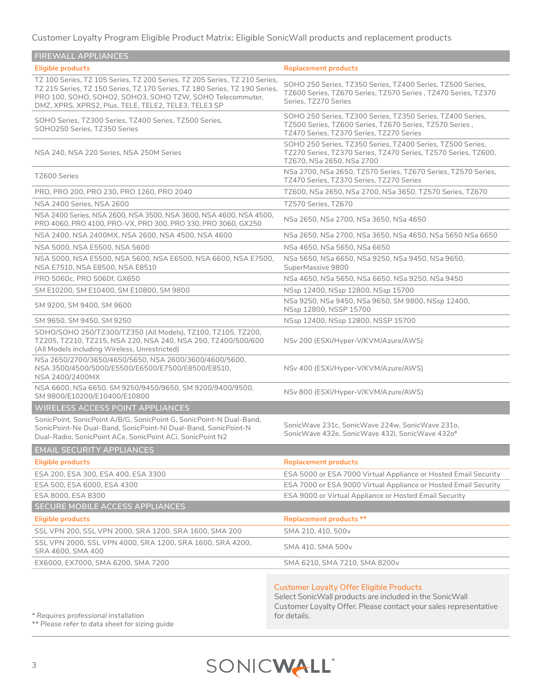Customer Loyalty Program Eligible Product Matrix: Eligible SonicWall products and replacement products

| <b>FIREWALL APPLIANCES</b>                                                                                                                                                                                                                                                    |                                                                                                                                                                   |
|-------------------------------------------------------------------------------------------------------------------------------------------------------------------------------------------------------------------------------------------------------------------------------|-------------------------------------------------------------------------------------------------------------------------------------------------------------------|
| Eligible products                                                                                                                                                                                                                                                             | <b>Replacement products</b>                                                                                                                                       |
| TZ 100 Series, TZ 105 Series, TZ 200 Series, TZ 205 Series, TZ 210 Series,<br>TZ 215 Series, TZ 150 Series, TZ 170 Series, TZ 180 Series, TZ 190 Series,<br>PRO 100, SOHO, SOHO2, SOHO3, SOHO TZW, SOHO Telecommuter,<br>DMZ, XPRS, XPRS2, Plus, TELE, TELE2, TELE3, TELE3 SP | SOHO 250 Series, TZ350 Series, TZ400 Series, TZ500 Series,<br>TZ600 Series, TZ670 Series, TZ570 Series, TZ470 Series, TZ370<br>Series, TZ270 Series               |
| SOHO Series, TZ300 Series, TZ400 Series, TZ500 Series,<br>SOHO250 Series, TZ350 Series                                                                                                                                                                                        | SOHO 250 Series, TZ300 Series, TZ350 Series, TZ400 Series,<br>TZ500 Series, TZ600 Series, TZ670 Series, TZ570 Series,<br>TZ470 Series, TZ370 Series, TZ270 Series |
| NSA 240, NSA 220 Series, NSA 250M Series                                                                                                                                                                                                                                      | SOHO 250 Series, TZ350 Series, TZ400 Series, TZ500 Series,<br>TZ270 Series, TZ370 Series, TZ470 Series, TZ570 Series, TZ600,<br>TZ670, NSa 2650, NSa 2700         |
| TZ600 Series                                                                                                                                                                                                                                                                  | NSa 2700, NSa 2650, TZ570 Series, TZ670 Series, TZ570 Series,<br>TZ470 Series, TZ370 Series, TZ270 Series                                                         |
| PRO, PRO 200, PRO 230, PRO 1260, PRO 2040                                                                                                                                                                                                                                     | TZ600, NSa 2650, NSa 2700, NSa 3650, TZ570 Series, TZ670                                                                                                          |
| NSA 2400 Series, NSA 2600                                                                                                                                                                                                                                                     | TZ570 Series, TZ670                                                                                                                                               |
| NSA 2400 Series, NSA 2600, NSA 3500, NSA 3600, NSA 4600, NSA 4500,<br>PRO 4060, PRO 4100, PRO-VX, PRO 300, PRO 330, PRO 3060, GX250                                                                                                                                           | NSa 2650, NSa 2700, NSa 3650, NSa 4650                                                                                                                            |
| NSA 2400, NSA 2400MX, NSA 2600, NSA 4500, NSA 4600                                                                                                                                                                                                                            | NSa 2650, NSa 2700, NSa 3650, NSa 4650, NSa 5650 NSa 6650                                                                                                         |
| NSA 5000, NSA E5500, NSA 5600                                                                                                                                                                                                                                                 | NSa 4650, NSa 5650, NSa 6650                                                                                                                                      |
| NSA 5000, NSA E5500, NSA 5600, NSA E6500, NSA 6600, NSA E7500,<br>NSA E7510, NSA E8500, NSA E8510                                                                                                                                                                             | NSa 5650, NSa 6650, NSa 9250, NSa 9450, NSa 9650,<br>SuperMassive 9800                                                                                            |
| PRO 5060c, PRO 5060f, GX650                                                                                                                                                                                                                                                   | NSa 4650, NSa 5650, NSa 6650, NSa 9250, NSa 9450                                                                                                                  |
| SM E10200, SM E10400, SM E10800, SM 9800                                                                                                                                                                                                                                      | NSsp 12400, NSsp 12800, NSsp 15700                                                                                                                                |
| SM 9200, SM 9400, SM 9600                                                                                                                                                                                                                                                     | NSa 9250, NSa 9450, NSa 9650, SM 9800, NSsp 12400,<br>NSsp 12800, NSSP 15700                                                                                      |
| SM 9650, SM 9450, SM 9250                                                                                                                                                                                                                                                     | NSsp 12400, NSsp 12800, NSSP 15700                                                                                                                                |
| SOHO/SOHO 250/TZ300/TZ350 (All Models), TZ100, TZ105, TZ200,<br>TZ205, TZ210, TZ215, NSA 220, NSA 240, NSA 250, TZ400/500/600<br>(All Models including Wireless, Unrestricted)                                                                                                | NSv 200 (ESXi/Hyper-V/KVM/Azure/AWS)                                                                                                                              |
| NSa 2650/2700/3650/4650/5650, NSA 2600/3600/4600/5600,<br>NSA 3500/4500/5000/E5500/E6500/E7500/E8500/E8510,<br>NSA 2400/2400MX                                                                                                                                                | NSv 400 (ESXi/Hyper-V/KVM/Azure/AWS)                                                                                                                              |
| NSA 6600, NSa 6650, SM 9250/9450/9650, SM 9200/9400/9500,<br>SM 9800/E10200/E10400/E10800                                                                                                                                                                                     | NSv 800 (ESXi/Hyper-V/KVM/Azure/AWS)                                                                                                                              |
| <b>WIRELESS ACCESS POINT APPLIANCES</b>                                                                                                                                                                                                                                       |                                                                                                                                                                   |
| SonicPoint, SonicPoint A/B/G, SonicPoint G, SonicPoint-N Dual-Band,<br>SonicPoint-Ne Dual-Band, SonicPoint-Ni Dual-Band, SonicPoint-N<br>Dual-Radio, SonicPoint ACe, SonicPoint ACi, SonicPoint N2                                                                            | SonicWave 231c, SonicWave 224w, SonicWave 231o,<br>SonicWave 432e, SonicWave 432i, SonicWave 432o*                                                                |
| <b>EMAIL SECURITY APPLIANCES</b>                                                                                                                                                                                                                                              |                                                                                                                                                                   |
| Eligible products                                                                                                                                                                                                                                                             | <b>Replacement products</b>                                                                                                                                       |
| ESA 200, ESA 300, ESA 400, ESA 3300                                                                                                                                                                                                                                           | ESA 5000 or ESA 7000 Virtual Appliance or Hosted Email Security                                                                                                   |
| ESA 500, ESA 6000, ESA 4300                                                                                                                                                                                                                                                   | ESA 7000 or ESA 9000 Virtual Appliance or Hosted Email Security                                                                                                   |
| ESA 8000, ESA 8300                                                                                                                                                                                                                                                            | ESA 9000 or Virtual Appliance or Hosted Email Security                                                                                                            |
| SECURE MOBILE ACCESS APPLIANCES                                                                                                                                                                                                                                               |                                                                                                                                                                   |
| <b>Eligible products</b>                                                                                                                                                                                                                                                      | Replacement products **                                                                                                                                           |
| SSL VPN 200, SSL VPN 2000, SRA 1200, SRA 1600, SMA 200                                                                                                                                                                                                                        | SMA 210, 410, 500 <sub>v</sub>                                                                                                                                    |
| SSL VPN 2000, SSL VPN 4000, SRA 1200, SRA 1600, SRA 4200,<br>SRA 4600, SMA 400                                                                                                                                                                                                | SMA 410, SMA 500 <sub>v</sub>                                                                                                                                     |
| EX6000, EX7000, SMA 6200, SMA 7200                                                                                                                                                                                                                                            | SMA 6210, SMA 7210, SMA 8200 <sub>v</sub>                                                                                                                         |
|                                                                                                                                                                                                                                                                               |                                                                                                                                                                   |

## Customer Loyalty Offer Eligible Products

Select SonicWall products are included in the SonicWall Customer Loyalty Offer. Please contact your sales representative for details.

*\* Requires professional installation*

*\*\* Please refer to data sheet for sizing guide*